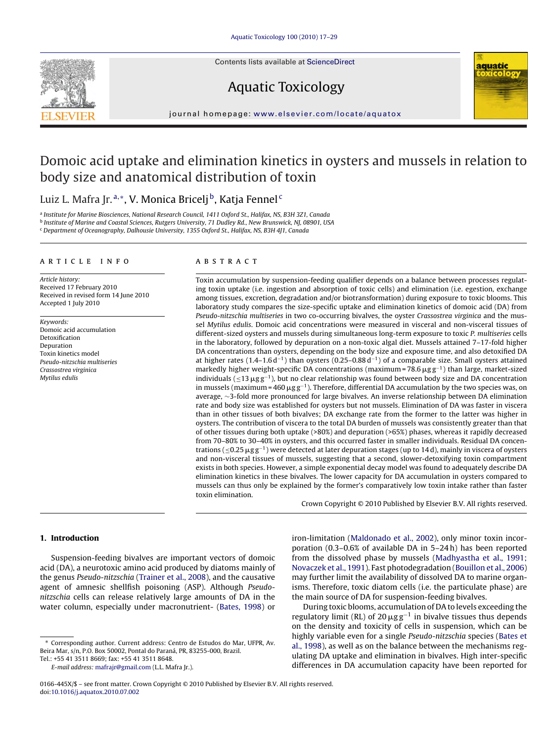Contents lists available at [ScienceDirect](http://www.sciencedirect.com/science/journal/0166445X)



# Aquatic Toxicology



journal homepage: [www.elsevier.com/locate/aquatox](http://www.elsevier.com/locate/aquatox)

# Domoic acid uptake and elimination kinetics in oysters and mussels in relation to body size and anatomical distribution of toxin

## Luiz L. Mafra Jr. a,\*, V. Monica Bricelj<sup>b</sup>, Katja Fennel<sup>c</sup>

<sup>a</sup> Institute for Marine Biosciences, National Research Council, 1411 Oxford St., Halifax, NS, B3H 3Z1, Canada

<sup>b</sup> Institute of Marine and Coastal Sciences, Rutgers University, 71 Dudley Rd., New Brunswick, NJ, 08901, USA

<sup>c</sup> Department of Oceanography, Dalhousie University, 1355 Oxford St., Halifax, NS, B3H 4J1, Canada

## article info

Article history: Received 17 February 2010 Received in revised form 14 June 2010 Accepted 1 July 2010

Keywords: Domoic acid accumulation Detoxification Depuration Toxin kinetics model Pseudo-nitzschia multiseries Crassostrea virginica Mytilus edulis

## ABSTRACT

Toxin accumulation by suspension-feeding qualifier depends on a balance between processes regulating toxin uptake (i.e. ingestion and absorption of toxic cells) and elimination (i.e. egestion, exchange among tissues, excretion, degradation and/or biotransformation) during exposure to toxic blooms. This laboratory study compares the size-specific uptake and elimination kinetics of domoic acid (DA) from Pseudo-nitzschia multiseries in two co-occurring bivalves, the oyster Crassostrea virginica and the mussel Mytilus edulis. Domoic acid concentrations were measured in visceral and non-visceral tissues of different-sized oysters and mussels during simultaneous long-term exposure to toxic P. multiseries cells in the laboratory, followed by depuration on a non-toxic algal diet. Mussels attained 7–17-fold higher DA concentrations than oysters, depending on the body size and exposure time, and also detoxified DA at higher rates  $(1.4-1.6 d<sup>-1</sup>)$  than oysters  $(0.25-0.88 d<sup>-1</sup>)$  of a comparable size. Small oysters attained markedly higher weight-specific DA concentrations (maximum = 78.6  $\mu$ g g<sup>-1</sup>) than large, market-sized individuals (≤13  $\mu$ gg<sup>−1</sup>), but no clear relationship was found between body size and DA concentration in mussels (maximum = 460  $\mu$ g g $^{-1}$ ). Therefore, differential DA accumulation by the two species was, on average, ∼3-fold more pronounced for large bivalves. An inverse relationship between DA elimination rate and body size was established for oysters but not mussels. Elimination of DA was faster in viscera than in other tissues of both bivalves; DA exchange rate from the former to the latter was higher in oysters. The contribution of viscera to the total DA burden of mussels was consistently greater than that of other tissues during both uptake (>80%) and depuration (>65%) phases, whereas it rapidly decreased from 70–80% to 30–40% in oysters, and this occurred faster in smaller individuals. Residual DA concentrations ( $\leq$ 0.25  $\mu$ gg $^{-1}$ ) were detected at later depuration stages (up to 14d), mainly in viscera of oysters and non-visceral tissues of mussels, suggesting that a second, slower-detoxifying toxin compartment exists in both species. However, a simple exponential decay model was found to adequately describe DA elimination kinetics in these bivalves. The lower capacity for DA accumulation in oysters compared to mussels can thus only be explained by the former's comparatively low toxin intake rather than faster toxin elimination.

Crown Copyright © 2010 Published by Elsevier B.V. All rights reserved.

## **1. Introduction**

Suspension-feeding bivalves are important vectors of domoic acid (DA), a neurotoxic amino acid produced by diatoms mainly of the genus Pseudo-nitzschia ([Trainer et al., 2008\),](#page-12-0) and the causative agent of amnesic shellfish poisoning (ASP). Although Pseudonitzschia cells can release relatively large amounts of DA in the water column, especially under macronutrient- ([Bates, 1998\)](#page-11-0) or

During toxic blooms, accumulation of DA to levels exceeding the regulatory limit (RL) of 20  $\mu$ gg<sup>-1</sup> in bivalve tissues thus depends on the density and toxicity of cells in suspension, which can be highly variable even for a single Pseudo-nitzschia species ([Bates et](#page-11-0) [al., 1998\),](#page-11-0) as well as on the balance between the mechanisms regulating DA uptake and elimination in bivalves. High inter-specific differences in DA accumulation capacity have been reported for

<sup>∗</sup> Corresponding author. Current address: Centro de Estudos do Mar, UFPR, Av. Beira Mar, s/n, P.O. Box 50002, Pontal do Paraná, PR, 83255-000, Brazil.

Tel.: +55 41 3511 8669; fax: +55 41 3511 8648.

E-mail address: [mafrajr@gmail.com](mailto:mafrajr@gmail.com) (L.L. Mafra Jr.).

iron-limitation [\(Maldonado et al., 2002\),](#page-11-0) only minor toxin incorporation (0.3–0.6% of available DA in 5–24 h) has been reported from the dissolved phase by mussels ([Madhyastha et al., 1991;](#page-11-0) [Novaczek et al., 1991\).](#page-11-0) Fast photodegradation [\(Bouillon et al., 2006\)](#page-11-0) may further limit the availability of dissolved DA to marine organisms. Therefore, toxic diatom cells (i.e. the particulate phase) are the main source of DA for suspension-feeding bivalves.

<sup>0166-445</sup>X/\$ – see front matter. Crown Copyright © 2010 Published by Elsevier B.V. All rights reserved. doi:[10.1016/j.aquatox.2010.07.002](dx.doi.org/10.1016/j.aquatox.2010.07.002)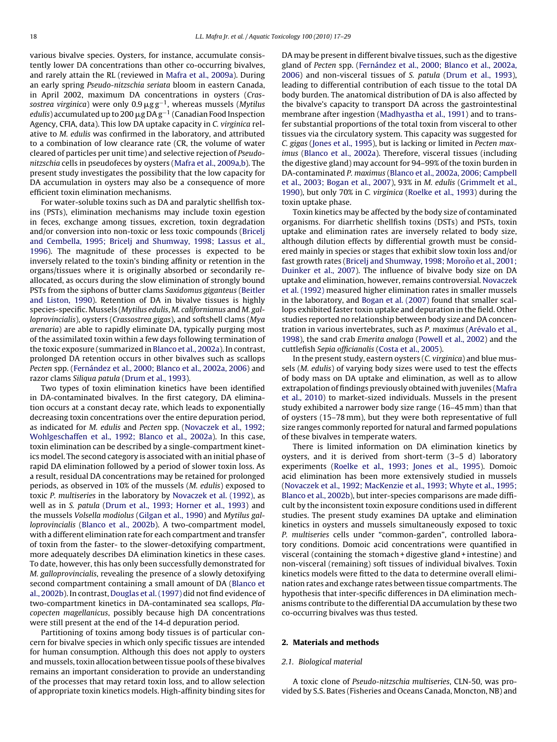various bivalve species. Oysters, for instance, accumulate consistently lower DA concentrations than other co-occurring bivalves, and rarely attain the RL (reviewed in [Mafra et al., 2009a\).](#page-11-0) During an early spring Pseudo-nitzschia seriata bloom in eastern Canada, in April 2002, maximum DA concentrations in oysters (Crassostrea virginica) were only 0.9 $\rm \mu gg^{-1}$ , whereas mussels (Mytilus  $edulis$  ) accumulated up to 200  $\mu$ g DA g $^{-1}$  (Canadian Food Inspection Agency, CFIA, data). This low DA uptake capacity in C. virginica relative to M. edulis was confirmed in the laboratory, and attributed to a combination of low clearance rate (CR, the volume of water cleared of particles per unit time) and selective rejection of Pseudonitzschia cells in pseudofeces by oysters [\(Mafra et al., 2009a,b\).](#page-11-0) The present study investigates the possibility that the low capacity for DA accumulation in oysters may also be a consequence of more efficient toxin elimination mechanisms.

For water-soluble toxins such as DA and paralytic shellfish toxins (PSTs), elimination mechanisms may include toxin egestion in feces, exchange among tissues, excretion, toxin degradation and/or conversion into non-toxic or less toxic compounds [\(Bricelj](#page-11-0) [and Cembella, 1995; Bricelj and Shumway, 1998; Lassus et al.,](#page-11-0) [1996\).](#page-11-0) The magnitude of these processes is expected to be inversely related to the toxin's binding affinity or retention in the organs/tissues where it is originally absorbed or secondarily reallocated, as occurs during the slow elimination of strongly bound PSTs from the siphons of butter clams Saxidomus giganteus [\(Beitler](#page-11-0) [and Liston, 1990\).](#page-11-0) Retention of DA in bivalve tissues is highly species-specific. Mussels (Mytilus edulis, M. californianus and M. galloprovincialis), oysters (Crassostrea gigas), and softshell clams (Mya arenaria) are able to rapidly eliminate DA, typically purging most of the assimilated toxin within a few days following termination of the toxic exposure (summarized in [Blanco et al., 2002a\).](#page-11-0) In contrast, prolonged DA retention occurs in other bivalves such as scallops Pecten spp. ([Fernández et al., 2000; Blanco et al., 2002a, 2006\)](#page-11-0) and razor clams Siliqua patula [\(Drum et al., 1993\).](#page-11-0)

Two types of toxin elimination kinetics have been identified in DA-contaminated bivalves. In the first category, DA elimination occurs at a constant decay rate, which leads to exponentially decreasing toxin concentrations over the entire depuration period, as indicated for M. edulis and Pecten spp. ([Novaczek et al., 1992;](#page-12-0) [Wohlgeschaffen et al., 1992; Blanco et al., 2002a\).](#page-12-0) In this case, toxin elimination can be described by a single-compartment kinetics model. The second category is associated with an initial phase of rapid DA elimination followed by a period of slower toxin loss. As a result, residual DA concentrations may be retained for prolonged periods, as observed in 10% of the mussels (M. edulis) exposed to toxic P. multiseries in the laboratory by [Novaczek et al. \(1992\), a](#page-12-0)s well as in S. patula ([Drum et al., 1993; Horner et al., 1993\)](#page-11-0) and the mussels Volsella modiolus ([Gilgan et al., 1990\)](#page-11-0) and Mytilus galloprovincialis ([Blanco et al., 2002b\).](#page-11-0) A two-compartment model, with a different elimination rate for each compartment and transfer of toxin from the faster- to the slower-detoxifying compartment, more adequately describes DA elimination kinetics in these cases. To date, however, this has only been successfully demonstrated for M. galloprovincialis, revealing the presence of a slowly detoxifying second compartment containing a small amount of DA [\(Blanco et](#page-11-0) [al., 2002b\).](#page-11-0) In contrast, [Douglas et al. \(1997\)](#page-11-0) did not find evidence of two-compartment kinetics in DA-contaminated sea scallops, Placopecten magellanicus, possibly because high DA concentrations were still present at the end of the 14-d depuration period.

Partitioning of toxins among body tissues is of particular concern for bivalve species in which only specific tissues are intended for human consumption. Although this does not apply to oysters and mussels, toxin allocation between tissue pools of these bivalves remains an important consideration to provide an understanding of the processes that may retard toxin loss, and to allow selection of appropriate toxin kinetics models. High-affinity binding sites for

DA may be present in different bivalve tissues, such as the digestive gland of Pecten spp. [\(Fernández et al., 2000; Blanco et al., 2002a,](#page-11-0) [2006\)](#page-11-0) and non-visceral tissues of S. patula [\(Drum et al., 1993\),](#page-11-0) leading to differential contribution of each tissue to the total DA body burden. The anatomical distribution of DA is also affected by the bivalve's capacity to transport DA across the gastrointestinal membrane after ingestion [\(Madhyastha et al., 1991\)](#page-11-0) and to transfer substantial proportions of the total toxin from visceral to other tissues via the circulatory system. This capacity was suggested for C. gigas [\(Jones et al., 1995\),](#page-11-0) but is lacking or limited in Pecten maximus [\(Blanco et al., 2002a\).](#page-11-0) Therefore, visceral tissues (including the digestive gland) may account for 94–99% of the toxin burden in DA-contaminated P. maximus [\(Blanco et al., 2002a, 2006; Campbell](#page-11-0) [et al., 2003; Bogan et al., 2007\),](#page-11-0) 93% in M. edulis ([Grimmelt et al.,](#page-11-0) [1990\),](#page-11-0) but only 70% in C. virginica ([Roelke et al., 1993\)](#page-12-0) during the toxin uptake phase.

Toxin kinetics may be affected by the body size of contaminated organisms. For diarrhetic shellfish toxins (DSTs) and PSTs, toxin uptake and elimination rates are inversely related to body size, although dilution effects by differential growth must be considered mainly in species or stages that exhibit slow toxin loss and/or fast growth rates (Bricelj and Shumway, 1998; Moroño et al., 2001; [Duinker et al., 2007\).](#page-11-0) The influence of bivalve body size on DA uptake and elimination, however, remains controversial. [Novaczek](#page-12-0) [et al. \(1992\)](#page-12-0) measured higher elimination rates in smaller mussels in the laboratory, and [Bogan et al. \(2007\)](#page-11-0) found that smaller scallops exhibited faster toxin uptake and depuration in the field. Other studies reported no relationship between body size and DA concentration in various invertebrates, such as P. maximus [\(Arévalo et al.,](#page-11-0) [1998\),](#page-11-0) the sand crab Emerita analoga ([Powell et al., 2002\)](#page-12-0) and the cuttlefish Sepia officianalis [\(Costa et al., 2005\).](#page-11-0)

In the present study, eastern oysters (C. virginica) and blue mussels (M. edulis) of varying body sizes were used to test the effects of body mass on DA uptake and elimination, as well as to allow extrapolation of findings previously obtained with juveniles [\(Mafra](#page-11-0) [et al., 2010\)](#page-11-0) to market-sized individuals. Mussels in the present study exhibited a narrower body size range (16–45 mm) than that of oysters (15–78 mm), but they were both representative of full size ranges commonly reported for natural and farmed populations of these bivalves in temperate waters.

There is limited information on DA elimination kinetics by oysters, and it is derived from short-term (3–5 d) laboratory experiments [\(Roelke et al., 1993; Jones et al., 1995\).](#page-12-0) Domoic acid elimination has been more extensively studied in mussels [\(Novaczek et al., 1992; MacKenzie et al., 1993; Whyte et al., 1995;](#page-12-0) [Blanco et al., 2002b\),](#page-12-0) but inter-species comparisons are made difficult by the inconsistent toxin exposure conditions used in different studies. The present study examines DA uptake and elimination kinetics in oysters and mussels simultaneously exposed to toxic P. multiseries cells under "common-garden", controlled laboratory conditions. Domoic acid concentrations were quantified in visceral (containing the stomach + digestive gland + intestine) and non-visceral (remaining) soft tissues of individual bivalves. Toxin kinetics models were fitted to the data to determine overall elimination rates and exchange rates between tissue compartments. The hypothesis that inter-specific differences in DA elimination mechanisms contribute to the differential DA accumulation by these two co-occurring bivalves was thus tested.

## **2. Materials and methods**

## 2.1. Biological material

A toxic clone of Pseudo-nitzschia multiseries, CLN-50, was provided by S.S. Bates (Fisheries and Oceans Canada, Moncton, NB) and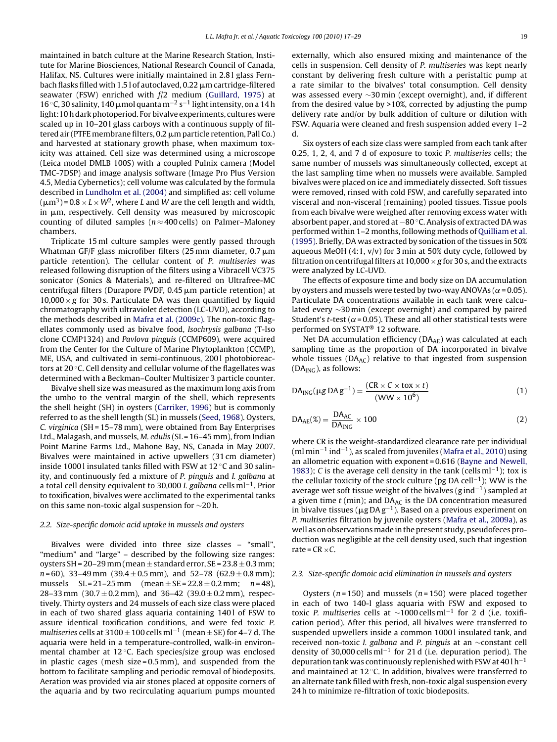<span id="page-2-0"></span>maintained in batch culture at the Marine Research Station, Institute for Marine Biosciences, National Research Council of Canada, Halifax, NS. Cultures were initially maintained in 2.8 l glass Fernbach flasks filled with 1.5 l of autoclaved, 0.22  $\mu$ m cartridge-filtered seawater (FSW) enriched with f/2 medium [\(Guillard, 1975\)](#page-11-0) at 16 °C, 30 salinity, 140 μmol quanta m<sup>-2</sup> s<sup>-1</sup> light intensity, on a 14 h light:10 h dark photoperiod. For bivalve experiments, cultures were scaled up in 10–201 glass carboys with a continuous supply of filtered air (PTFE membrane filters, 0.2  $\mu$ m particle retention, Pall Co.) and harvested at stationary growth phase, when maximum toxicity was attained. Cell size was determined using a microscope (Leica model DMLB 100S) with a coupled Pulnix camera (Model TMC-7DSP) and image analysis software (Image Pro Plus Version 4.5, Media Cybernetics); cell volume was calculated by the formula described in [Lundholm et al. \(2004\)](#page-11-0) and simplified as: cell volume  $(\mu m^3)$  = 0.8  $\times$  L  $\times$  W<sup>2</sup>, where L and W are the cell length and width, in µm, respectively. Cell density was measured by microscopic counting of diluted samples ( $n \approx 400$  cells) on Palmer–Maloney chambers.

Triplicate 15 ml culture samples were gently passed through Whatman GF/F glass microfiber filters (25 mm diameter, 0.7  $\mu$ m particle retention). The cellular content of P. multiseries was released following disruption of the filters using a Vibracell VC375 sonicator (Sonics & Materials), and re-filtered on Ultrafree-MC centrifugal filters (Durapore PVDF, 0.45  $\upmu$ m particle retention) at  $10,000 \times g$  for 30 s. Particulate DA was then quantified by liquid chromatography with ultraviolet detection (LC-UVD), according to the methods described in [Mafra et al. \(2009c\). T](#page-11-0)he non-toxic flagellates commonly used as bivalve food, Isochrysis galbana (T-Iso clone CCMP1324) and Pavlova pinguis (CCMP609), were acquired from the Center for the Culture of Marine Phytoplankton (CCMP), ME, USA, and cultivated in semi-continuous, 2001 photobioreactors at 20 ◦C. Cell density and cellular volume of the flagellates was determined with a Beckman–Coulter Multisizer 3 particle counter.

Bivalve shell size was measured as the maximum long axis from the umbo to the ventral margin of the shell, which represents the shell height (SH) in oysters ([Carriker, 1996\)](#page-11-0) but is commonly referred to as the shell length (SL) in mussels ([Seed, 1968\).](#page-12-0) Oysters, C. virginica (SH = 15–78 mm), were obtained from Bay Enterprises Ltd., Malagash, and mussels, M. edulis (SL = 16–45 mm), from Indian Point Marine Farms Ltd., Mahone Bay, NS, Canada in May 2007. Bivalves were maintained in active upwellers (31 cm diameter) inside 1000 l insulated tanks filled with FSW at 12 ◦C and 30 salinity, and continuously fed a mixture of P. pinguis and I. galbana at a total cell density equivalent to 30,000 *I. galbana* cells ml<sup>-1</sup>. Prior to toxification, bivalves were acclimated to the experimental tanks on this same non-toxic algal suspension for ∼20 h.

## 2.2. Size-specific domoic acid uptake in mussels and oysters

Bivalves were divided into three size classes – "small", "medium" and "large" – described by the following size ranges: oysters SH =  $20-29$  mm (mean  $\pm$  standard error, SE =  $23.8 \pm 0.3$  mm;  $n = 60$ , 33–49 mm (39.4  $\pm$  0.5 mm), and 52–78 (62.9  $\pm$  0.8 mm); mussels  $SL = 21-25$  mm (mean  $\pm$  SE = 22.8  $\pm$  0.2 mm; n = 48), 28–33 mm (30.7  $\pm$  0.2 mm), and 36–42 (39.0  $\pm$  0.2 mm), respectively. Thirty oysters and 24 mussels of each size class were placed in each of two shared glass aquaria containing 1401 of FSW to assure identical toxification conditions, and were fed toxic P. multiseries cells at 3100  $\pm$  100 cells ml<sup>-1</sup> (mean  $\pm$  SE) for 4–7 d. The aquaria were held in a temperature-controlled, walk-in environmental chamber at 12 ◦C. Each species/size group was enclosed in plastic cages (mesh size = 0.5 mm), and suspended from the bottom to facilitate sampling and periodic removal of biodeposits. Aeration was provided via air stones placed at opposite corners of the aquaria and by two recirculating aquarium pumps mounted

externally, which also ensured mixing and maintenance of the cells in suspension. Cell density of P. multiseries was kept nearly constant by delivering fresh culture with a peristaltic pump at a rate similar to the bivalves' total consumption. Cell density was assessed every ∼30 min (except overnight), and, if different from the desired value by >10%, corrected by adjusting the pump delivery rate and/or by bulk addition of culture or dilution with FSW. Aquaria were cleaned and fresh suspension added every 1–2 d.

Six oysters of each size class were sampled from each tank after 0.25, 1, 2, 4, and 7 d of exposure to toxic P. multiseries cells; the same number of mussels was simultaneously collected, except at the last sampling time when no mussels were available. Sampled bivalves were placed on ice and immediately dissected. Soft tissues were removed, rinsed with cold FSW, and carefully separated into visceral and non-visceral (remaining) pooled tissues. Tissue pools from each bivalve were weighed after removing excess water with absorbent paper, and stored at −80 ◦C. Analysis of extracted DA was performed within 1–2 months, following methods of [Quilliam et al.](#page-12-0) [\(1995\). B](#page-12-0)riefly, DA was extracted by sonication of the tissues in 50% aqueous MeOH  $(4:1, v/v)$  for 3 min at 50% duty cycle, followed by filtration on centrifugal filters at  $10,000 \times g$  for 30 s, and the extracts were analyzed by LC-UVD.

The effects of exposure time and body size on DA accumulation by oysters and mussels were tested by two-way ANOVAs ( $\alpha$  = 0.05). Particulate DA concentrations available in each tank were calculated every ∼30 min (except overnight) and compared by paired Student's t-test ( $\alpha$  = 0.05). These and all other statistical tests were performed on SYSTAT® 12 software.

Net DA accumulation efficiency (DAAE) was calculated at each sampling time as the proportion of DA incorporated in bivalve whole tissues ( $DA_{AC}$ ) relative to that ingested from suspension  $(DA<sub>ING</sub>)$ , as follows:

$$
DAING(\mu g DA g-1) = \frac{(CR \times C \times tox \times t)}{(WW \times 10^6)}
$$
(1)

$$
DA_{AE}(\%) = \frac{DA_{AC}}{DA_{ING}} \times 100
$$
 (2)

where CR is the weight-standardized clearance rate per individual (ml min−<sup>1</sup> ind−1), as scaled from juveniles ([Mafra et al., 2010\)](#page-11-0) using an allometric equation with exponent = 0.616 [\(Bayne and Newell,](#page-11-0) [1983\);](#page-11-0) C is the average cell density in the tank (cells ml<sup>-1</sup>); tox is the cellular toxicity of the stock culture (pg DA cell−1); WW is the average wet soft tissue weight of the bivalves (g ind−1) sampled at a given time  $t$  (min); and DA $_{AC}$  is the DA concentration measured in bivalve tissues ( $\mu$ g DA g<sup>-1</sup>). Based on a previous experiment on P. multiseries filtration by juvenile oysters [\(Mafra et al., 2009a\),](#page-11-0) as well as on observations made in the present study, pseudofeces production was negligible at the cell density used, such that ingestion rate =  $CR \times C$ .

## 2.3. Size-specific domoic acid elimination in mussels and oysters

Oysters ( $n = 150$ ) and mussels ( $n = 150$ ) were placed together in each of two 140-l glass aquaria with FSW and exposed to toxic P. multiseries cells at  $\sim$ 1000 cells ml<sup>-1</sup> for 2 d (i.e. toxification period). After this period, all bivalves were transferred to suspended upwellers inside a common 10001 insulated tank, and received non-toxic I. galbana and P. pinguis at an ∼constant cell density of 30,000 cells ml−<sup>1</sup> for 21 d (i.e. depuration period). The depuration tank was continuously replenished with FSW at 40 l h−<sup>1</sup> and maintained at 12 ◦C. In addition, bivalves were transferred to an alternate tank filled with fresh, non-toxic algal suspension every 24 h to minimize re-filtration of toxic biodeposits.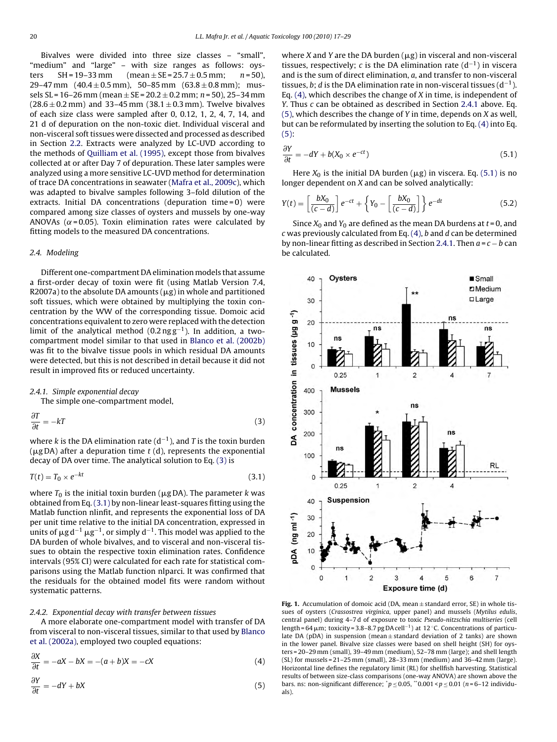<span id="page-3-0"></span>Bivalves were divided into three size classes – "small", "medium" and "large" – with size ranges as follows: oysters  $SH = 19-33$  mm (mean  $\pm SE = 25.7 \pm 0.5$  mm;  $n = 50$ ), 29–47 mm  $(40.4 \pm 0.5 \text{ mm})$ , 50–85 mm  $(63.8 \pm 0.8 \text{ mm})$ ; mussels SL = 16–26 mm (mean  $\pm$  SE = 20.2  $\pm$  0.2 mm; n = 50), 25–34 mm  $(28.6 \pm 0.2 \text{ mm})$  and 33–45 mm  $(38.1 \pm 0.3 \text{ mm})$ . Twelve bivalves of each size class were sampled after 0, 0.12, 1, 2, 4, 7, 14, and 21 d of depuration on the non-toxic diet. Individual visceral and non-visceral soft tissues were dissected and processed as described in Section [2.2.](#page-2-0) Extracts were analyzed by LC-UVD according to the methods of [Quilliam et al. \(1995\), e](#page-12-0)xcept those from bivalves collected at or after Day 7 of depuration. These later samples were analyzed using a more sensitive LC-UVD method for determination of trace DA concentrations in seawater [\(Mafra et al., 2009c\),](#page-11-0) which was adapted to bivalve samples following 3–fold dilution of the extracts. Initial DA concentrations (depuration time = 0) were compared among size classes of oysters and mussels by one-way ANOVAs ( $\alpha$ = 0.05). Toxin elimination rates were calculated by fitting models to the measured DA concentrations.

## 2.4. Modeling

Different one-compartment DA elimination models that assume a first-order decay of toxin were fit (using Matlab Version 7.4, R2007a) to the absolute DA amounts ( $\mu$ g) in whole and partitioned soft tissues, which were obtained by multiplying the toxin concentration by the WW of the corresponding tissue. Domoic acid concentrations equivalent to zero were replaced with the detection limit of the analytical method  $(0.2 \text{ ng g}^{-1})$ . In addition, a twocompartment model similar to that used in [Blanco et al. \(2002b\)](#page-11-0) was fit to the bivalve tissue pools in which residual DA amounts were detected, but this is not described in detail because it did not result in improved fits or reduced uncertainty.

#### 2.4.1. Simple exponential decay

The simple one-compartment model,

$$
\frac{\partial T}{\partial t} = -kT\tag{3}
$$

where k is the DA elimination rate  $(d^{-1})$ , and T is the toxin burden ( $\mu$ gDA) after a depuration time  $t$  (d), represents the exponential decay of DA over time. The analytical solution to Eq. (3) is

$$
T(t) = T_0 \times e^{-kt} \tag{3.1}
$$

where  $T_0$  is the initial toxin burden ( $\mu$ g DA). The parameter  $k$  was obtained from Eq.(3.1) by non-linear least-squares fitting using the Matlab function nlinfit, and represents the exponential loss of DA per unit time relative to the initial DA concentration, expressed in units of  $\mu$ gd $^{-1}$   $\mu$ g $^{-1}$ , or simply d $^{-1}$ . This model was applied to the DA burden of whole bivalves, and to visceral and non-visceral tissues to obtain the respective toxin elimination rates. Confidence intervals (95% CI) were calculated for each rate for statistical comparisons using the Matlab function nlparci. It was confirmed that the residuals for the obtained model fits were random without systematic patterns.

## 2.4.2. Exponential decay with transfer between tissues

A more elaborate one-compartment model with transfer of DA from visceral to non-visceral tissues, similar to that used by [Blanco](#page-11-0) [et al. \(2002a\), e](#page-11-0)mployed two coupled equations:

$$
\frac{\partial X}{\partial t} = -aX - bX = -(a+b)X = -cX \tag{4}
$$

$$
\frac{\partial Y}{\partial t} = -dY + bX\tag{5}
$$

where X and Y are the DA burden  $(\mu g)$  in visceral and non-visceral tissues, respectively; c is the DA elimination rate  $(d^{-1})$  in viscera and is the sum of direct elimination, a, and transfer to non-visceral tissues, b; d is the DA elimination rate in non-visceral tissues  $(d^{-1})$ . Eq.  $(4)$ , which describes the change of X in time, is independent of Y. Thus  $c$  can be obtained as described in Section 2.4.1 above. Eq.  $(5)$ , which describes the change of Y in time, depends on X as well, but can be reformulated by inserting the solution to Eq. (4) into Eq. (5):

$$
\frac{\partial Y}{\partial t} = -dY + b(X_0 \times e^{-ct})
$$
\n(5.1)

Here  $X_0$  is the initial DA burden ( $\mu$ g) in viscera. Eq. (5.1) is no longer dependent on X and can be solved analytically:

$$
Y(t) = \left[\frac{bX_0}{(c-d)}\right]e^{-ct} + \left\{Y_0 - \left[\frac{bX_0}{(c-d)}\right]\right\}e^{-dt}
$$
\n(5.2)

Since  $X_0$  and  $Y_0$  are defined as the mean DA burdens at  $t = 0$ , and  $c$  was previously calculated from Eq. (4),  $b$  and  $d$  can be determined by non-linear fitting as described in Section 2.4.1. Then  $a = c - b$  can be calculated.



**Fig. 1.** Accumulation of domoic acid (DA, mean  $\pm$  standard error, SE) in whole tissues of oysters (Crassostrea virginica, upper panel) and mussels (Mytilus edulis, central panel) during 4–7 d of exposure to toxic Pseudo-nitzschia multiseries (cell length = 64  $\mu$ m; toxicity = 3.8–8.7 pg DA cell<sup>-1</sup>) at 12 °C. Concentrations of particulate DA (pDA) in suspension (mean  $\pm$  standard deviation of 2 tanks) are shown in the lower panel. Bivalve size classes were based on shell height (SH) for oysters = 20–29 mm (small), 39–49 mm (medium), 52–78 mm (large); and shell length (SL) for mussels = 21–25 mm (small), 28–33 mm (medium) and 36–42 mm (large). Horizontal line defines the regulatory limit (RL) for shellfish harvesting. Statistical results of between size-class comparisons (one-way ANOVA) are shown above the bars. ns: non-significant difference;  $p \le 0.05$ ,  $p \le 0.001 < p \le 0.01$  (n=6-12 individuals).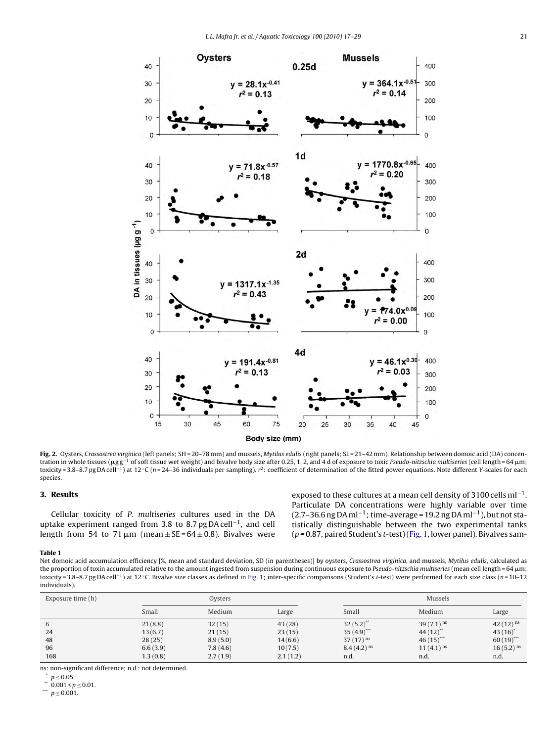<span id="page-4-0"></span>

Fig. 2. Oysters, Crassostrea virginica (left panels; SH = 20-78 mm) and mussels, Mytilus edulis (right panels; SL=21-42 mm). Relationship between domoic acid (DA) concentration in whole tissues ( $\mu$ gg<sup>-1</sup> of soft tissue wet weight) and bivalve body size after 0.25, 1, 2, and 4 d of exposure to toxic Pseudo-nitzschia multiseries (cell length = 64  $\mu$ m; toxicity = 3.8–8.7 pg DA cell<sup>-1</sup>) at 12 °C (n = 24–36 individuals per sampling). r<sup>2</sup>: coefficient of determination of the fitted power equations. Note different Y-scales for each species.

## **3. Results**

Cellular toxicity of P. multiseries cultures used in the DA uptake experiment ranged from 3.8 to 8.7 pg DA cell−1, and cell length from 54 to 71  $\mu$ m (mean $\pm$ SE=64 $\pm$ 0.8). Bivalves were exposed to these cultures at a mean cell density of 3100 cells ml<sup>-1</sup>. Particulate DA concentrations were highly variable over time (2.7–36.6 ng DA ml<sup>-1</sup>; time-average = 19.2 ng DA ml<sup>-1</sup>), but not statistically distinguishable between the two experimental tanks  $(p = 0.87,$  paired Student's t-test) ([Fig. 1, l](#page-3-0)ower panel). Bivalves sam-

#### **Table 1**

Net domoic acid accumulation efficiency [%, mean and standard deviation, SD (in parentheses)] by oysters, Crassostrea virginica, and mussels, Mytilus edulis, calculated as the proportion of toxin accumulated relative to the amount ingested from suspension during continuous exposure to Pseudo-nitzschia multiseries (mean cell length = 64 µm; toxicity = 3.8–8.7 pg DA cell−1) at 12 ◦C. Bivalve size classes as defined in [Fig. 1;](#page-3-0) inter-specific comparisons (Student's t-test) were performed for each size class (n = 10–12 individuals).

| Exposure time (h)          | Oysters                                              |                                                      |                                                    | Mussels                                                                             |                                                                               |                                                                                 |
|----------------------------|------------------------------------------------------|------------------------------------------------------|----------------------------------------------------|-------------------------------------------------------------------------------------|-------------------------------------------------------------------------------|---------------------------------------------------------------------------------|
|                            | Small                                                | Medium                                               | Large                                              | Small                                                                               | Medium                                                                        | Large                                                                           |
| 6<br>24<br>48<br>96<br>168 | 21(8.8)<br>13(6.7)<br>28(25)<br>6.6(3.9)<br>1.3(0.8) | 32(15)<br>21(15)<br>8.9(5.0)<br>7.8(4.6)<br>2.7(1.9) | 43(28)<br>23(15)<br>14(6.6)<br>10(7.5)<br>2.1(1.2) | $32(5.2)$ **<br>$35(4.9)$ ***<br>37 $(17)$ <sup>ns</sup><br>$8.4(4.2)^{ns}$<br>n.d. | 39 $(7.1)$ <sup>ns</sup><br>$44(12)^{4}$<br>46(15)<br>11 $(4.1)^{ns}$<br>n.d. | 42 $(12)$ <sup>ns</sup><br>$43(16)^*$<br>$60(19)$ ***<br>$16(5.2)^{ns}$<br>n.d. |

ns: non-significant difference; n.d.: not determined.

\*  $p \le 0.05$ .<br>\*\* 0.001 <  $p \le 0.01$ .<br>\*\*  $p < 0.001$ .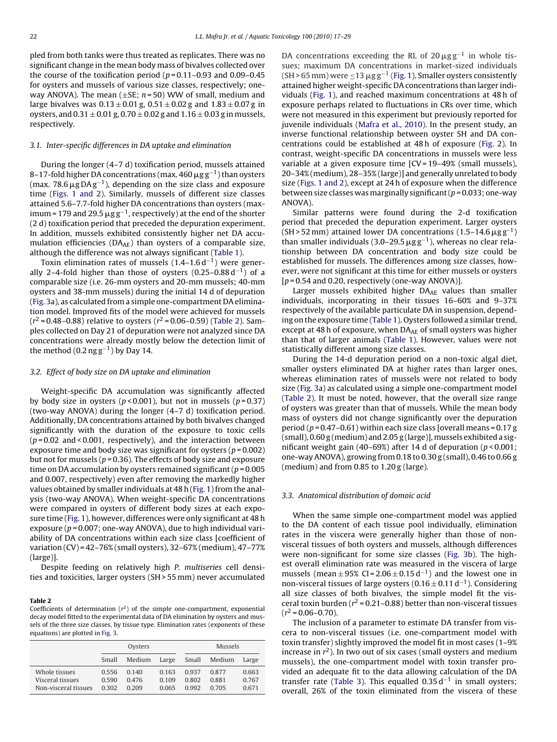pled from both tanks were thus treated as replicates. There was no significant change in the mean body mass of bivalves collected over the course of the toxification period ( $p = 0.11 - 0.93$  and 0.09–0.45 for oysters and mussels of various size classes, respectively; oneway ANOVA). The mean  $(\pm SE; n=50)$  WW of small, medium and large bivalves was  $0.13 \pm 0.01$  g,  $0.51 \pm 0.02$  g and  $1.83 \pm 0.07$  g in oysters, and  $0.31 \pm 0.01$  g,  $0.70 \pm 0.02$  g and  $1.16 \pm 0.03$  g in mussels, respectively.

## 3.1. Inter-specific differences in DA uptake and elimination

During the longer (4–7 d) toxification period, mussels attained 8–17-fold higher DA concentrations (max. 460  $\rm \mu g \, g^{-1})$  than oysters (max. 78.6  $\mu$ g DA $\rm g^{-1}$ ), depending on the size class and exposure time [\(Figs. 1 and 2](#page-3-0)). Similarly, mussels of different size classes attained 5.6–7.7-fold higher DA concentrations than oysters (maximum = 179 and 29.5  $\rm \mu g \, g^{-1}$ , respectively) at the end of the shorter (2 d) toxification period that preceded the depuration experiment. In addition, mussels exhibited consistently higher net DA accumulation efficiencies ( $DA_{AE}$ ) than oysters of a comparable size, although the difference was not always significant ([Table 1\).](#page-4-0)

Toxin elimination rates of mussels (1.4–1.6 d<sup>-1</sup>) were generally 2–4-fold higher than those of oysters  $(0.25-0.88 d^{-1})$  of a comparable size (i.e. 26-mm oysters and 20-mm mussels; 40-mm oysters and 38-mm mussels) during the initial 14 d of depuration ([Fig. 3a\)](#page-6-0), as calculated from a simple one-compartment DA elimination model. Improved fits of the model were achieved for mussels  $(r^2 = 0.48 - 0.88)$  relative to oysters  $(r^2 = 0.06 - 0.59)$  (Table 2). Samples collected on Day 21 of depuration were not analyzed since DA concentrations were already mostly below the detection limit of the method (0.2 ng  $g^{-1}$ ) by Day 14.

#### 3.2. Effect of body size on DA uptake and elimination

Weight-specific DA accumulation was significantly affected by body size in oysters ( $p < 0.001$ ), but not in mussels ( $p = 0.37$ ) (two-way ANOVA) during the longer (4–7 d) toxification period. Additionally, DA concentrations attained by both bivalves changed significantly with the duration of the exposure to toxic cells  $(p=0.02$  and < 0.001, respectively), and the interaction between exposure time and body size was significant for oysters ( $p = 0.002$ ) but not for mussels ( $p = 0.36$ ). The effects of body size and exposure time on DA accumulation by oysters remained significant ( $p = 0.005$ ) and 0.007, respectively) even after removing the markedly higher values obtained by smaller individuals at 48 h [\(Fig. 1\) f](#page-3-0)rom the analysis (two-way ANOVA). When weight-specific DA concentrations were compared in oysters of different body sizes at each exposure time [\(Fig. 1\),](#page-3-0) however, differences were only significant at 48 h exposure ( $p = 0.007$ ; one-way ANOVA), due to high individual variability of DA concentrations within each size class [coefficient of variation (CV) = 42–76% (small oysters), 32–67% (medium), 47–77% (large)].

Despite feeding on relatively high P. multiseries cell densities and toxicities, larger oysters (SH > 55 mm) never accumulated

#### **Table 2**

Coefficients of determination  $(r^2)$  of the simple one-compartment, exponential decay model fitted to the experimental data of DA elimination by oysters and mussels of the three size classes, by tissue type. Elimination rates (exponents of these equations) are plotted in [Fig. 3.](#page-6-0)

|                                                           | Oysters                 |                         |                         | Mussels                 |                         |                         |
|-----------------------------------------------------------|-------------------------|-------------------------|-------------------------|-------------------------|-------------------------|-------------------------|
|                                                           | Small                   | Medium                  | Large                   | Small                   | Medium                  | Large                   |
| Whole tissues<br>Visceral tissues<br>Non-visceral tissues | 0.556<br>0.590<br>0.302 | 0,140<br>0.476<br>0.209 | 0.163<br>0.109<br>0.065 | 0.937<br>0.802<br>0.992 | 0.877<br>0.881<br>0.705 | 0.663<br>0.767<br>0.671 |

DA concentrations exceeding the RL of 20  $\mu$ gg<sup>-1</sup> in whole tissues; maximum DA concentrations in market-sized individuals  $(SH > 65 \text{ mm})$  were  $\leq 13 \mu g g^{-1}$  [\(Fig. 1\).](#page-3-0) Smaller oysters consistently attained higher weight-specific DA concentrations than larger individuals ([Fig. 1\),](#page-3-0) and reached maximum concentrations at 48 h of exposure perhaps related to fluctuations in CRs over time, which were not measured in this experiment but previously reported for juvenile individuals [\(Mafra et al., 2010\).](#page-11-0) In the present study, an inverse functional relationship between oyster SH and DA concentrations could be established at 48 h of exposure [\(Fig. 2\).](#page-4-0) In contrast, weight-specific DA concentrations in mussels were less variable at a given exposure time [CV = 19–49% (small mussels), 20–34% (medium), 28–35% (large)] and generally unrelated to body size [\(Figs. 1 and 2\),](#page-3-0) except at 24 h of exposure when the difference between size classes was marginally significant ( $p = 0.033$ ; one-way ANOVA).

Similar patterns were found during the 2-d toxification period that preceded the depuration experiment. Larger oysters (SH > 52 mm) attained lower DA concentrations (1.5–14.6  $\mu$ g g<sup>-1</sup>) than smaller individuals (3.0–29.5  $\mu$ gg<sup>-1</sup>), whereas no clear relationship between DA concentration and body size could be established for mussels. The differences among size classes, however, were not significant at this time for either mussels or oysters  $[p=0.54$  and 0.20, respectively (one-way ANOVA)].

Larger mussels exhibited higher  $DA_{AE}$  values than smaller individuals, incorporating in their tissues 16–60% and 9–37% respectively of the available particulate DA in suspension, depending on the exposure time [\(Table 1\).](#page-4-0) Oysters followed a similar trend, except at 48 h of exposure, when  $DA_{AE}$  of small oysters was higher than that of larger animals [\(Table 1\).](#page-4-0) However, values were not statistically different among size classes.

During the 14-d depuration period on a non-toxic algal diet, smaller oysters eliminated DA at higher rates than larger ones, whereas elimination rates of mussels were not related to body size [\(Fig. 3a\)](#page-6-0) as calculated using a simple one-compartment model (Table 2). It must be noted, however, that the overall size range of oysters was greater than that of mussels. While the mean body mass of oysters did not change significantly over the depuration period ( $p = 0.47 - 0.61$ ) within each size class [overall means =  $0.17$  g  $(s$ mall), 0.60 g (medium) and 2.05 g (large)], mussels exhibited a significant weight gain (40–69%) after 14 d of depuration ( $p < 0.001$ ; one-way ANOVA), growing from 0.18 to 0.30 g (small), 0.46 to 0.66 g (medium) and from 0.85 to 1.20 g (large).

## 3.3. Anatomical distribution of domoic acid

When the same simple one-compartment model was applied to the DA content of each tissue pool individually, elimination rates in the viscera were generally higher than those of nonvisceral tissues of both oysters and mussels, although differences were non-significant for some size classes [\(Fig. 3b](#page-6-0)). The highest overall elimination rate was measured in the viscera of large mussels (mean  $\pm$  95% CI = 2.06  $\pm$  0.15 d<sup>-1</sup>) and the lowest one in non-visceral tissues of large oysters (0.16  $\pm$  0.11 d<sup>-1</sup>). Considering all size classes of both bivalves, the simple model fit the visceral toxin burden ( $r^2$  = 0.21–0.88) better than non-visceral tissues  $(r^2 = 0.06 - 0.70)$ .

The inclusion of a parameter to estimate DA transfer from viscera to non-visceral tissues (i.e. one-compartment model with toxin transfer) slightly improved the model fit in most cases (1–9% increase in  $r^2$ ). In two out of six cases (small oysters and medium mussels), the one-compartment model with toxin transfer provided an adequate fit to the data allowing calculation of the DA transfer rate [\(Table 3\).](#page-6-0) This equalled 0.35 d<sup>-1</sup> in small oysters; overall, 26% of the toxin eliminated from the viscera of these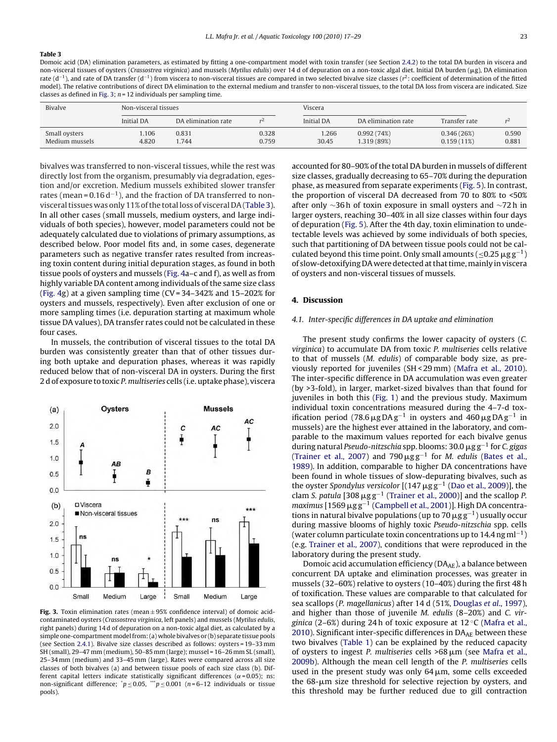#### <span id="page-6-0"></span>**Table 3**

Domoic acid (DA) elimination parameters, as estimated by fitting a one-compartment model with toxin transfer (see Section [2.4.2\) t](#page-3-0)o the total DA burden in viscera and non-visceral tissues of oysters (*Crassostrea virginica*) and mussels (Mytilus *edulis)* over 14 d of depuration on a non-toxic algal diet. Initial DA burden (μg), DA elimination rate (d<sup>-1</sup>), and rate of DA transfer (d<sup>-1</sup>) from viscera to non-visceral tissues are compared in two selected bivalve size classes (r<sup>2</sup>: coefficient of determination of the fitted model). The relative contributions of direct DA elimination to the external medium and transfer to non-visceral tissues, to the total DA loss from viscera are indicated. Size classes as defined in Fig. 3;  $n = 12$  individuals per sampling time.

| Bivalve                         | Non-visceral tissues |                     |                | Viscera           |                           |                          |                |  |
|---------------------------------|----------------------|---------------------|----------------|-------------------|---------------------------|--------------------------|----------------|--|
|                                 | <b>Initial DA</b>    | DA elimination rate |                | <b>Initial DA</b> | DA elimination rate       | Transfer rate            | r4             |  |
| Small oysters<br>Medium mussels | .106<br>4.820        | 0.831<br>.744       | 0.328<br>0.759 | .266<br>30.45     | 0.992(74%)<br>1.319 (89%) | 0.346(26%)<br>0.159(11%) | 0.590<br>0.881 |  |
|                                 |                      |                     |                |                   |                           |                          |                |  |

bivalves was transferred to non-visceral tissues, while the rest was directly lost from the organism, presumably via degradation, egestion and/or excretion. Medium mussels exhibited slower transfer rates (mean =  $0.16 d^{-1}$ ), and the fraction of DA transferred to nonvisceral tissues was only 11% of the total loss of visceral DA (Table 3). In all other cases (small mussels, medium oysters, and large individuals of both species), however, model parameters could not be adequately calculated due to violations of primary assumptions, as described below. Poor model fits and, in some cases, degenerate parameters such as negative transfer rates resulted from increasing toxin content during initial depuration stages, as found in both tissue pools of oysters and mussels ([Fig. 4a–](#page-7-0)c and f), as well as from highly variable DA content among individuals of the same size class ([Fig. 4g\)](#page-7-0) at a given sampling time (CV = 34–342% and 15–202% for oysters and mussels, respectively). Even after exclusion of one or more sampling times (i.e. depuration starting at maximum whole tissue DA values), DA transfer rates could not be calculated in these four cases.

In mussels, the contribution of visceral tissues to the total DA burden was consistently greater than that of other tissues during both uptake and depuration phases, whereas it was rapidly reduced below that of non-visceral DA in oysters. During the first 2 d of exposure to toxic P. multiseries cells (i.e. uptake phase), viscera



**Fig. 3.** Toxin elimination rates (mean  $\pm$  95% confidence interval) of domoic acidcontaminated oysters (Crassostrea virginica, left panels) and mussels (Mytilus edulis, right panels) during 14 d of depuration on a non-toxic algal diet, as calculated by a simple one-compartment model from: (a) whole bivalves or (b) separate tissue pools (see Section [2.4.1\).](#page-3-0) Bivalve size classes described as follows: oysters = 19–33 mm SH (small), 29–47 mm (medium), 50–85 mm (large); mussel = 16–26 mm SL (small), 25–34 mm (medium) and 33–45 mm (large). Rates were compared across all size classes of both bivalves (a) and between tissue pools of each size class (b). Different capital letters indicate statistically significant differences ( $\alpha$ = 0.05); ns: non-significant difference;  $\gamma p \le 0.05$ ,  $\gamma p \le 0.001$  (n=6-12 individuals or tissue pools).

accounted for 80–90% of the total DA burden in mussels of different size classes, gradually decreasing to 65–70% during the depuration phase, as measured from separate experiments ([Fig. 5\).](#page-8-0) In contrast, the proportion of visceral DA decreased from 70 to 80% to <50% after only ∼36 h of toxin exposure in small oysters and ∼72 h in larger oysters, reaching 30–40% in all size classes within four days of depuration ([Fig. 5\).](#page-8-0) After the 4th day, toxin elimination to undetectable levels was achieved by some individuals of both species, such that partitioning of DA between tissue pools could not be calculated beyond this time point. Only small amounts ( $\leq$ 0.25  $\mu$ g g<sup>-1</sup>) of slow-detoxifying DA were detected at that time, mainly in viscera of oysters and non-visceral tissues of mussels.

## **4. Discussion**

## 4.1. Inter-specific differences in DA uptake and elimination

The present study confirms the lower capacity of oysters (C. virginica) to accumulate DA from toxic P. multiseries cells relative to that of mussels (M. edulis) of comparable body size, as previously reported for juveniles (SH < 29 mm) ([Mafra et al., 2010\).](#page-11-0) The inter-specific difference in DA accumulation was even greater (by >3-fold), in larger, market-sized bivalves than that found for juveniles in both this ([Fig. 1\)](#page-3-0) and the previous study. Maximum individual toxin concentrations measured during the 4–7-d toxification period (78.6  $\mu$ g DA g<sup>-1</sup> in oysters and 460  $\mu$ g DA g<sup>-1</sup> in mussels) are the highest ever attained in the laboratory, and comparable to the maximum values reported for each bivalve genus during natural Pseudo-nitzschia spp. blooms: 30.0  $\mu$ g g<sup>-1</sup> for C. gigas [\(Trainer et al., 2007\)](#page-12-0) and 790  $\mu$ gg<sup>-1</sup> for *M. edulis* ([Bates et al.,](#page-11-0) [1989\).](#page-11-0) In addition, comparable to higher DA concentrations have been found in whole tissues of slow-depurating bivalves, such as the oyster Spondylus versicolor  $[(147 \,\mu g\,g^{-1}$  [\(Dao et al., 2009\)\]](#page-11-0), the clam S. patula [308  $\mu$ g g<sup>-1</sup> ([Trainer et al., 2000\)\]](#page-12-0) and the scallop P. maximus [1569  $\mu$ g g<sup>-1</sup> [\(Campbell et al., 2001\)\]](#page-11-0). High DA concentrations in natural bivalve populations (up to 70  $\mu$ g g<sup>-1</sup>) usually occur during massive blooms of highly toxic Pseudo-nitzschia spp. cells (water column particulate toxin concentrations up to 14.4 ng ml<sup>-1</sup>) (e.g. [Trainer et al., 2007\),](#page-12-0) conditions that were reproduced in the laboratory during the present study.

Domoic acid accumulation efficiency ( $DA_{AE}$ ), a balance between concurrent DA uptake and elimination processes, was greater in mussels (32–60%) relative to oysters (10–40%) during the first 48 h of toxification. These values are comparable to that calculated for sea scallops (P. magellanicus) after 14 d (51%, [Douglas](#page-11-0) [et al](#page-11-0)., [1997\),](#page-11-0) and higher than those of juvenile M. edulis (8–20%) and C. virginica (2–6%) during 24 h of toxic exposure at  $12^{\circ}$ C ([Mafra et al.,](#page-11-0) [2010\).](#page-11-0) Significant inter-specific differences in  $DA_{AE}$  between these two bivalves [\(Table 1\)](#page-4-0) can be explained by the reduced capacity of oysters to ingest P. multiseries cells  $>68 \mu m$  (see [Mafra et al.,](#page-11-0) [2009b\).](#page-11-0) Although the mean cell length of the P. multiseries cells used in the present study was only  $64 \,\mu m$ , some cells exceeded the  $68$ - $\mu$ m size threshold for selective rejection by oysters, and this threshold may be further reduced due to gill contraction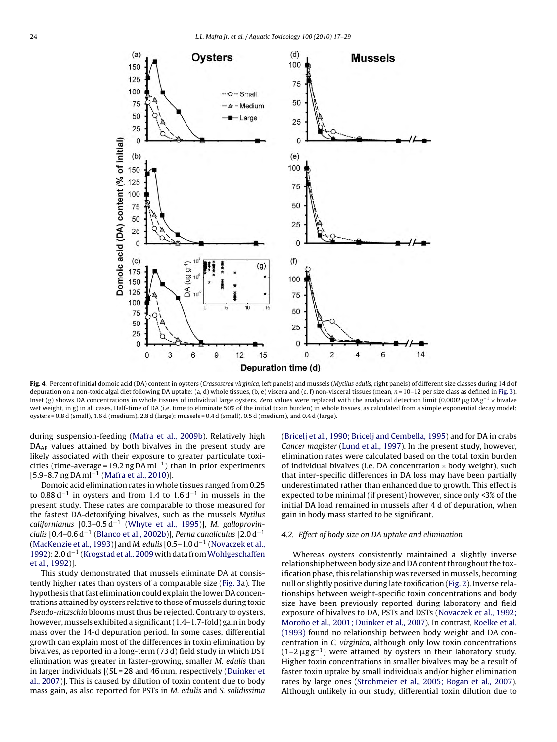<span id="page-7-0"></span>

Fig. 4. Percent of initial domoic acid (DA) content in oysters (Crassostrea virginica, left panels) and mussels (Mytilus edulis, right panels) of different size classes during 14 d of depuration on a non-toxic algal diet following DA uptake: (a, d) whole tissues, (b, e) viscera and (c, f) non-visceral tissues (mean, n = 10-12 per size class as defined in [Fig. 3\).](#page-6-0) Inset (g) shows DA concentrations in whole tissues of individual large oysters. Zero values were replaced with the analytical detection limit (0.0002 µgDA  $\rm g^{-1}$  × bivalve wet weight, in g) in all cases. Half-time of DA (i.e. time to eliminate 50% of the initial toxin burden) in whole tissues, as calculated from a simple exponential decay model: oysters = 0.8 d (small), 1.6 d (medium), 2.8 d (large); mussels = 0.4 d (small), 0.5 d (medium), and 0.4 d (large).

during suspension-feeding ([Mafra et al., 2009b\).](#page-11-0) Relatively high DA<sub>AE</sub> values attained by both bivalves in the present study are likely associated with their exposure to greater particulate toxicities (time-average = 19.2 ng DA ml<sup>-1</sup>) than in prior experiments [5.9–8.7 ng DA ml−<sup>1</sup> ([Mafra et al., 2010\)\]](#page-11-0).

Domoic acid elimination rates in whole tissues ranged from 0.25 to 0.88 d<sup>-1</sup> in oysters and from 1.4 to 1.6 d<sup>-1</sup> in mussels in the present study. These rates are comparable to those measured for the fastest DA-detoxifying bivalves, such as the mussels Mytilus californianus  $[0.3-0.5 d^{-1}$  ([Whyte et al., 1995\)\]](#page-12-0), M. galloprovin-cialis [0.4–0.6 d<sup>-1</sup> ([Blanco et al., 2002b\)\]](#page-11-0), Perna canaliculus [2.0 d<sup>-1</sup> ([MacKenzie et al., 1993\)\]](#page-11-0) and M. edulis  $[0.5-1.0 d<sup>-1</sup>$  ([Novaczek et al.,](#page-12-0) [1992\);](#page-12-0) 2.0 d<sup>-1</sup> [\(Krogstad et al., 2009](#page-11-0) with data from [Wohlgeschaffen](#page-12-0) [et al., 1992\)\]](#page-12-0).

This study demonstrated that mussels eliminate DA at consistently higher rates than oysters of a comparable size ([Fig. 3a\)](#page-6-0). The hypothesis that fast elimination could explain the lower DA concentrations attained by oysters relative to those of mussels during toxic Pseudo-nitzschia blooms must thus be rejected. Contrary to oysters, however, mussels exhibited a significant (1.4–1.7-fold) gain in body mass over the 14-d depuration period. In some cases, differential growth can explain most of the differences in toxin elimination by bivalves, as reported in a long-term (73 d) field study in which DST elimination was greater in faster-growing, smaller M. edulis than in larger individuals [(SL = 28 and 46 mm, respectively ([Duinker et](#page-11-0) [al., 2007\)\]](#page-11-0). This is caused by dilution of toxin content due to body mass gain, as also reported for PSTs in M. edulis and S. solidissima

[\(Bricelj et al., 1990; Bricelj and Cembella, 1995\) a](#page-11-0)nd for DA in crabs Cancer magister ([Lund et al., 1997\).](#page-11-0) In the present study, however, elimination rates were calculated based on the total toxin burden of individual bivalves (i.e. DA concentration  $\times$  body weight), such that inter-specific differences in DA loss may have been partially underestimated rather than enhanced due to growth. This effect is expected to be minimal (if present) however, since only <3% of the initial DA load remained in mussels after 4 d of depuration, when gain in body mass started to be significant.

## 4.2. Effect of body size on DA uptake and elimination

Whereas oysters consistently maintained a slightly inverse relationship between body size and DA content throughout the toxification phase, this relationship was reversed in mussels, becoming null or slightly positive during late toxification ([Fig. 2\).](#page-4-0) Inverse relationships between weight-specific toxin concentrations and body size have been previously reported during laboratory and field exposure of bivalves to DA, PSTs and DSTs ([Novaczek et al., 1992;](#page-12-0) Moroño et al., 2001; Duinker et al., 2007). In contrast, [Roelke et al.](#page-12-0) [\(1993\)](#page-12-0) found no relationship between body weight and DA concentration in C. virginica, although only low toxin concentrations  $(1-2 \mu g g^{-1})$  were attained by oysters in their laboratory study. Higher toxin concentrations in smaller bivalves may be a result of faster toxin uptake by small individuals and/or higher elimination rates by large ones [\(Strohmeier et al., 2005; Bogan et al., 2007\).](#page-12-0) Although unlikely in our study, differential toxin dilution due to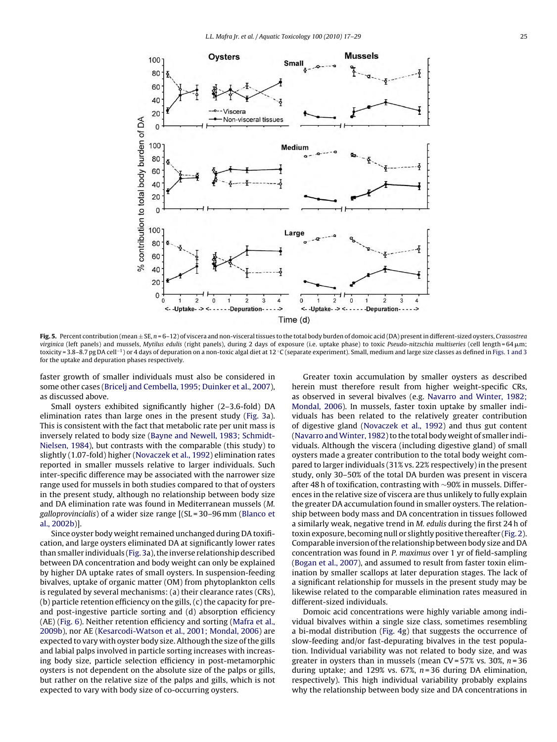<span id="page-8-0"></span>

Fig. 5. Percent contribution (mean ± SE, n = 6-12) of viscera and non-visceral tissues to the total body burden of domoic acid (DA) present in different-sized oysters, Crassostrea virginica (left panels) and mussels, Mytilus edulis (right panels), during 2 days of exposure (i.e. uptake phase) to toxic *Pseudo-nitzschia multiseries* (cell length=64µm; toxicity = 3.8–8.7 pg DA cell−1) or 4 days of depuration on a non-toxic algal diet at 12 ◦C (separate experiment). Small, medium and large size classes as defined in [Figs. 1 and 3](#page-3-0) for the uptake and depuration phases respectively.

faster growth of smaller individuals must also be considered in some other cases ([Bricelj and Cembella, 1995; Duinker et al., 2007\),](#page-11-0) as discussed above.

Small oysters exhibited significantly higher (2–3.6-fold) DA elimination rates than large ones in the present study ([Fig. 3a](#page-6-0)). This is consistent with the fact that metabolic rate per unit mass is inversely related to body size [\(Bayne and Newell, 1983; Schmidt-](#page-11-0)Nielsen, [1984\),](#page-11-0) but contrasts with the comparable (this study) to slightly (1.07-fold) higher [\(Novaczek et al., 1992\) e](#page-12-0)limination rates reported in smaller mussels relative to larger individuals. Such inter-specific difference may be associated with the narrower size range used for mussels in both studies compared to that of oysters in the present study, although no relationship between body size and DA elimination rate was found in Mediterranean mussels (M. galloprovincialis) of a wider size range [(SL = 30–96 mm ([Blanco et](#page-11-0) [al., 2002b\)\]](#page-11-0).

Since oyster body weight remained unchanged during DA toxification, and large oysters eliminated DA at significantly lower rates than smaller individuals ([Fig. 3a\)](#page-6-0), the inverse relationship described between DA concentration and body weight can only be explained by higher DA uptake rates of small oysters. In suspension-feeding bivalves, uptake of organic matter (OM) from phytoplankton cells is regulated by several mechanisms: (a) their clearance rates (CRs), (b) particle retention efficiency on the gills, (c) the capacity for preand post-ingestive particle sorting and (d) absorption efficiency (AE) [\(Fig. 6\).](#page-9-0) Neither retention efficiency and sorting ([Mafra et al.,](#page-11-0) [2009b\),](#page-11-0) nor AE ([Kesarcodi-Watson et al., 2001; Mondal, 2006\)](#page-11-0) are expected to vary with oyster body size. Although the size of the gills and labial palps involved in particle sorting increases with increasing body size, particle selection efficiency in post-metamorphic oysters is not dependent on the absolute size of the palps or gills, but rather on the relative size of the palps and gills, which is not expected to vary with body size of co-occurring oysters.

Greater toxin accumulation by smaller oysters as described herein must therefore result from higher weight-specific CRs, as observed in several bivalves (e.g. [Navarro and Winter, 1982;](#page-12-0) [Mondal, 2006\).](#page-12-0) In mussels, faster toxin uptake by smaller individuals has been related to the relatively greater contribution of digestive gland [\(Novaczek et al., 1992\)](#page-12-0) and thus gut content (Navarro and Winter, 1982) to the total body weight of smaller individuals. Although the viscera (including digestive gland) of small oysters made a greater contribution to the total body weight compared to larger individuals (31% vs. 22% respectively) in the present study, only 30–50% of the total DA burden was present in viscera after 48 h of toxification, contrasting with ∼90% in mussels. Differences in the relative size of viscera are thus unlikely to fully explain the greater DA accumulation found in smaller oysters. The relationship between body mass and DA concentration in tissues followed a similarly weak, negative trend in M. edulis during the first 24 h of toxin exposure, becoming null or slightly positive thereafter ([Fig. 2\).](#page-4-0) Comparable inversion of the relationship between body size and DA concentration was found in P. maximus over 1 yr of field-sampling [\(Bogan et al., 2007\),](#page-11-0) and assumed to result from faster toxin elimination by smaller scallops at later depuration stages. The lack of a significant relationship for mussels in the present study may be likewise related to the comparable elimination rates measured in different-sized individuals.

Domoic acid concentrations were highly variable among individual bivalves within a single size class, sometimes resembling a bi-modal distribution [\(Fig. 4g](#page-7-0)) that suggests the occurrence of slow-feeding and/or fast-depurating bivalves in the test population. Individual variability was not related to body size, and was greater in oysters than in mussels (mean  $CV = 57\%$  vs. 30%,  $n = 36$ ) during uptake; and 129% vs. 67%,  $n = 36$  during DA elimination, respectively). This high individual variability probably explains why the relationship between body size and DA concentrations in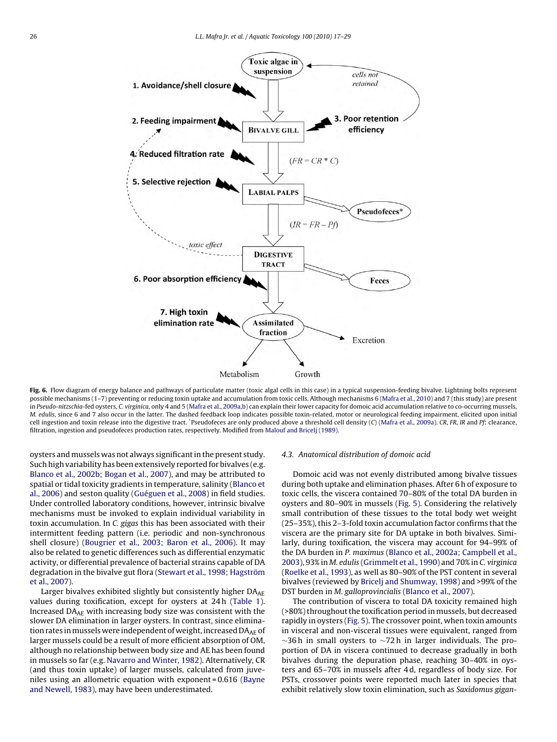<span id="page-9-0"></span>

Fig. 6. Flow diagram of energy balance and pathways of particulate matter (toxic algal cells in this case) in a typical suspension-feeding bivalve. Lightning bolts represent possible mechanisms (1–7) preventing or reducing toxin uptake and accumulation from toxic cells. Although mechanisms 6 ([Mafra et al., 2010\) a](#page-11-0)nd 7 (this study) are present in Pseudo-nitzschia-fed oysters, C. virginica, only 4 and 5 [\(Mafra et al., 2009a,b\) c](#page-11-0)an explain their lower capacity for domoic acid accumulation relative to co-occurring mussels, M. edulis, since 6 and 7 also occur in the latter. The dashed feedback loop indicates possible toxin-related, motor or neurological feeding impairment, elicited upon initial cell ingestion and toxin release into the digestive tract. \*Pseudofeces are only produced above a threshold cell density (C) [\(Mafra et al., 2009a\).](#page-11-0) CR, FR, IR and Pf: clearance, filtration, ingestion and pseudofeces production rates, respectively. Modified from [Malouf and Bricelj \(1989\).](#page-11-0)

oysters and mussels was not always significant in the present study. Such high variability has been extensively reported for bivalves (e.g. [Blanco et al., 2002b; Bogan et al., 2007\),](#page-11-0) and may be attributed to spatial or tidal toxicity gradients in temperature, salinity ([Blanco et](#page-11-0) [al., 2006\) a](#page-11-0)nd seston quality [\(Guéguen et al., 2008\) i](#page-11-0)n field studies. Under controlled laboratory conditions, however, intrinsic bivalve mechanisms must be invoked to explain individual variability in toxin accumulation. In C. gigas this has been associated with their intermittent feeding pattern (i.e. periodic and non-synchronous shell closure) ([Bougrier et al., 2003; Baron et al., 2006\).](#page-11-0) It may also be related to genetic differences such as differential enzymatic activity, or differential prevalence of bacterial strains capable of DA degradation in the bivalve gut flora ([Stewart et al., 1998; Hagström](#page-12-0) [et al., 2007\).](#page-12-0)

Larger bivalves exhibited slightly but consistently higher  $DA_{AF}$ values during toxification, except for oysters at 24 h [\(Table 1\).](#page-4-0) Increased DAAE with increasing body size was consistent with the slower DA elimination in larger oysters. In contrast, since elimination rates in mussels were independent of weight, increased  $DA_{AF}$  of larger mussels could be a result of more efficient absorption of OM, although no relationship between body size and AE has been found in mussels so far (e.g. [Navarro and Winter, 1982\).](#page-12-0) Alternatively, CR (and thus toxin uptake) of larger mussels, calculated from juveniles using an allometric equation with exponent = 0.616 [\(Bayne](#page-11-0) [and Newell, 1983\),](#page-11-0) may have been underestimated.

#### 4.3. Anatomical distribution of domoic acid

Domoic acid was not evenly distributed among bivalve tissues during both uptake and elimination phases. After 6 h of exposure to toxic cells, the viscera contained 70–80% of the total DA burden in oysters and 80–90% in mussels ([Fig. 5\).](#page-8-0) Considering the relatively small contribution of these tissues to the total body wet weight (25–35%), this 2–3-fold toxin accumulation factor confirms that the viscera are the primary site for DA uptake in both bivalves. Similarly, during toxification, the viscera may account for 94–99% of the DA burden in P. maximus ([Blanco et al., 2002a; Campbell et al.,](#page-11-0) [2003\),](#page-11-0) 93% in M. edulis ([Grimmelt et al., 1990\) a](#page-11-0)nd 70% in C. virginica [\(Roelke et al., 1993\),](#page-12-0) as well as 80–90% of the PST content in several bivalves (reviewed by [Bricelj and Shumway, 1998\) a](#page-11-0)nd >99% of the DST burden in M. galloprovincialis ([Blanco et al., 2007\).](#page-11-0)

The contribution of viscera to total DA toxicity remained high (>80%) throughout the toxification period in mussels, but decreased rapidly in oysters [\(Fig. 5\).](#page-8-0) The crossover point, when toxin amounts in visceral and non-visceral tissues were equivalent, ranged from  $\sim$ 36 h in small oysters to  $\sim$ 72 h in larger individuals. The proportion of DA in viscera continued to decrease gradually in both bivalves during the depuration phase, reaching 30–40% in oysters and 65–70% in mussels after 4 d, regardless of body size. For PSTs, crossover points were reported much later in species that exhibit relatively slow toxin elimination, such as Saxidomus gigan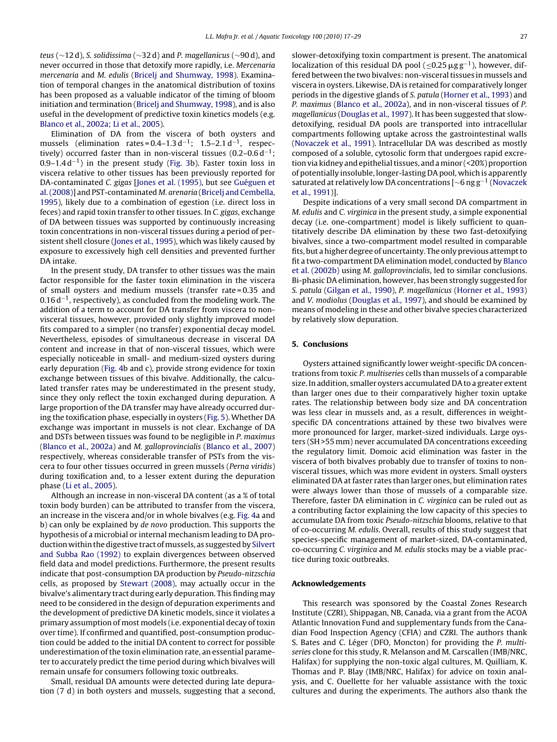teus (∼12 d), S. solidissima (∼32 d) and P. magellanicus (∼90 d), and never occurred in those that detoxify more rapidly, i.e. Mercenaria mercenaria and M. edulis ([Bricelj and Shumway, 1998\).](#page-11-0) Examination of temporal changes in the anatomical distribution of toxins has been proposed as a valuable indicator of the timing of bloom initiation and termination ([Bricelj and Shumway, 1998\),](#page-11-0) and is also useful in the development of predictive toxin kinetics models (e.g. [Blanco et al., 2002a; Li et al., 2005\).](#page-11-0)

Elimination of DA from the viscera of both oysters and mussels (elimination rates =  $0.4-1.3 d^{-1}$ ; 1.5–2.1 d<sup>-1</sup>, respectively) occurred faster than in non-visceral tissues (0.2–0.6 d−1; 0.9–1.4 d−1) in the present study ([Fig. 3b](#page-6-0)). Faster toxin loss in viscera relative to other tissues has been previously reported for DA-contaminated C. gigas [\[Jones et al. \(1995\), b](#page-11-0)ut see [Guéguen et](#page-11-0) [al. \(2008\)\] a](#page-11-0)nd PST-contaminated M. arenaria ([Bricelj and Cembella,](#page-11-0) [1995\),](#page-11-0) likely due to a combination of egestion (i.e. direct loss in feces) and rapid toxin transfer to other tissues. In C. gigas, exchange of DA between tissues was supported by continuously increasing toxin concentrations in non-visceral tissues during a period of persistent shell closure [\(Jones et al., 1995\),](#page-11-0) which was likely caused by exposure to excessively high cell densities and prevented further DA intake.

In the present study, DA transfer to other tissues was the main factor responsible for the faster toxin elimination in the viscera of small oysters and medium mussels (transfer rate = 0.35 and 0.16 d−1, respectively), as concluded from the modeling work. The addition of a term to account for DA transfer from viscera to nonvisceral tissues, however, provided only slightly improved model fits compared to a simpler (no transfer) exponential decay model. Nevertheless, episodes of simultaneous decrease in visceral DA content and increase in that of non-visceral tissues, which were especially noticeable in small- and medium-sized oysters during early depuration ([Fig. 4b](#page-7-0) and c), provide strong evidence for toxin exchange between tissues of this bivalve. Additionally, the calculated transfer rates may be underestimated in the present study, since they only reflect the toxin exchanged during depuration. A large proportion of the DA transfer may have already occurred during the toxification phase, especially in oysters [\(Fig. 5\).](#page-8-0) Whether DA exchange was important in mussels is not clear. Exchange of DA and DSTs between tissues was found to be negligible in P. maximus ([Blanco et al., 2002a\)](#page-11-0) and M. galloprovincialis ([Blanco et al., 2007\)](#page-11-0) respectively, whereas considerable transfer of PSTs from the viscera to four other tissues occurred in green mussels (Perna viridis) during toxification and, to a lesser extent during the depuration phase [\(Li et al., 2005\).](#page-11-0)

Although an increase in non-visceral DA content (as a % of total toxin body burden) can be attributed to transfer from the viscera, an increase in the viscera and/or in whole bivalves (e.g. [Fig. 4a](#page-7-0) and b) can only be explained by de novo production. This supports the hypothesis of a microbial or internal mechanism leading to DA production within the digestive tract ofmussels, as suggested by [Silvert](#page-12-0) [and Subba Rao \(1992\)](#page-12-0) to explain divergences between observed field data and model predictions. Furthermore, the present results indicate that post-consumption DA production by Pseudo-nitzschia cells, as proposed by [Stewart \(2008\),](#page-12-0) may actually occur in the bivalve's alimentary tract during early depuration. This finding may need to be considered in the design of depuration experiments and the development of predictive DA kinetic models, since it violates a primary assumption of most models (i.e. exponential decay of toxin over time). If confirmed and quantified, post-consumption production could be added to the initial DA content to correct for possible underestimation of the toxin elimination rate, an essential parameter to accurately predict the time period during which bivalves will remain unsafe for consumers following toxic outbreaks.

Small, residual DA amounts were detected during late depuration (7 d) in both oysters and mussels, suggesting that a second, slower-detoxifying toxin compartment is present. The anatomical localization of this residual DA pool ( $\leq 0.25 \,\mu\text{g}\,\text{g}^{-1}$ ), however, differed between the two bivalves: non-visceral tissues in mussels and viscera in oysters. Likewise, DA is retained for comparatively longer periods in the digestive glands of S. patula ([Horner et al., 1993\) a](#page-11-0)nd P. maximus [\(Blanco et al., 2002a\),](#page-11-0) and in non-visceral tissues of P. magellanicus ([Douglas et al., 1997\).](#page-11-0) It has been suggested that slowdetoxifying, residual DA pools are transported into intracellular compartments following uptake across the gastrointestinal walls [\(Novaczek et al., 1991\).](#page-12-0) Intracellular DA was described as mostly composed of a soluble, cytosolic form that undergoes rapid excretion via kidney and epithelial tissues, and aminor (<20%) proportion of potentially insoluble, longer-lasting DA pool, which is apparently saturated at relatively low DA concentrations [∼6 ng g−<sup>1</sup> [\(Novaczek](#page-12-0) [et al., 1991\)\]](#page-12-0).

Despite indications of a very small second DA compartment in M. edulis and C. virginica in the present study, a simple exponential decay (i.e. one-compartment) model is likely sufficient to quantitatively describe DA elimination by these two fast-detoxifying bivalves, since a two-compartment model resulted in comparable fits, but a higher degree of uncertainty. The only previous attempt to fit a two-compartment DA elimination model, conducted by [Blanco](#page-11-0) [et al. \(2002b\)](#page-11-0) using M. galloprovincialis, led to similar conclusions. Bi-phasic DA elimination, however, has been strongly suggested for S. patula ([Gilgan et al., 1990\),](#page-11-0) P. magellanicus ([Horner et al., 1993\)](#page-11-0) and V. modiolus ([Douglas et al., 1997\),](#page-11-0) and should be examined by means of modeling in these and other bivalve species characterized by relatively slow depuration.

## **5. Conclusions**

Oysters attained significantly lower weight-specific DA concentrations from toxic P. multiseries cells than mussels of a comparable size. In addition, smaller oysters accumulated DA to a greater extent than larger ones due to their comparatively higher toxin uptake rates. The relationship between body size and DA concentration was less clear in mussels and, as a result, differences in weightspecific DA concentrations attained by these two bivalves were more pronounced for larger, market-sized individuals. Large oysters (SH >55 mm) never accumulated DA concentrations exceeding the regulatory limit. Domoic acid elimination was faster in the viscera of both bivalves probably due to transfer of toxins to nonvisceral tissues, which was more evident in oysters. Small oysters eliminated DA at faster rates than larger ones, but elimination rates were always lower than those of mussels of a comparable size. Therefore, faster DA elimination in C. virginica can be ruled out as a contributing factor explaining the low capacity of this species to accumulate DA from toxic Pseudo-nitzschia blooms, relative to that of co-occurring M. edulis. Overall, results of this study suggest that species-specific management of market-sized, DA-contaminated, co-occurring C. virginica and M. edulis stocks may be a viable practice during toxic outbreaks.

#### **Acknowledgements**

This research was sponsored by the Coastal Zones Research Institute (CZRI), Shippagan, NB, Canada, via a grant from the ACOA Atlantic Innovation Fund and supplementary funds from the Canadian Food Inspection Agency (CFIA) and CZRI. The authors thank S. Bates and C. Léger (DFO, Moncton) for providing the P. multiseries clone for this study, R. Melanson and M. Carscallen (IMB/NRC, Halifax) for supplying the non-toxic algal cultures, M. Quilliam, K. Thomas and P. Blay (IMB/NRC, Halifax) for advice on toxin analysis, and C. Ouellette for her valuable assistance with the toxic cultures and during the experiments. The authors also thank the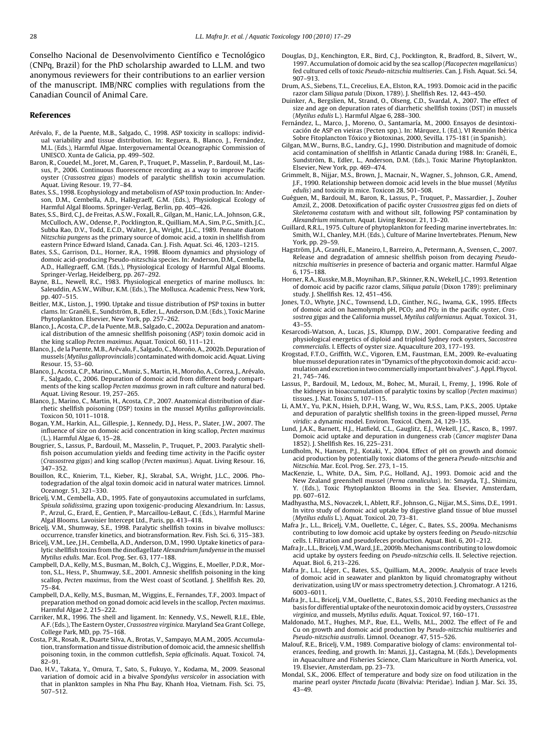<span id="page-11-0"></span>Conselho Nacional de Desenvolvimento Científico e Tecnológico (CNPq, Brazil) for the PhD scholarship awarded to L.L.M. and two anonymous reviewers for their contributions to an earlier version of the manuscript. IMB/NRC complies with regulations from the Canadian Council of Animal Care.

#### **References**

- Arévalo, F., de la Puente, M.B., Salgado, C., 1998. ASP toxicity in scallops: individual variability and tissue distribution. In: Reguera, B., Blanco, J., Fernández, M.L. (Eds.), Harmful Algae. Intergovernamental Oceanographic Commission of UNESCO. Xunta de Galicia, pp. 499–502.
- Baron, R., Couedel, M., Joret, M., Garen, P., Truquet, P., Masselin, P., Bardouil, M., Lassus, P., 2006. Continuous fluorescence recording as a way to improve Pacific oyster (Crassostrea gigas) models of paralytic shellfish toxin accumulation. Aquat. Living Resour. 19, 77–84.
- Bates, S.S., 1998. Ecophysiology and metabolism of ASP toxin production. In: Anderson, D.M., Cembella, A.D., Hallegraeff, G.M. (Eds.), Physiological Ecology of Harmful Algal Blooms. Springer-Verlag, Berlin, pp. 405–426.
- Bates, S.S., Bird, C.J., de Freitas, A.S.W., Foxall, R., Gilgan, M., Hanic, L.A., Johnson, G.R., McCulloch, A.W., Odense, P., Pocklington, R., Quilliam, M.A., Sim, P.G., Smith, J.C., Subba Rao, D.V., Todd, E.C.D., Walter, J.A., Wright, J.L.C., 1989. Pennate diatom Nitzschia pungens as the primary source of domoic acid, a toxin in shellfish from eastern Prince Edward Island, Canada. Can. J. Fish. Aquat. Sci. 46, 1203–1215.
- Bates, S.S., Garrison, D.L., Horner, R.A., 1998. Bloom dynamics and physiology of domoic acid-producing Pseudo-nitzschia species. In: Anderson, D.M., Cembella, A.D., Hallegraeff, G.M. (Eds.), Physiological Ecology of Harmful Algal Blooms. Springer-Verlag, Heidelberg, pp. 267–292.
- Bayne, B.L., Newell, R.C., 1983. Physiological energetics of marine molluscs. In: Saleuddin, A.S.W., Wilbur, K.M. (Eds.), The Mollusca. Academic Press, New York, pp. 407–515.
- Beitler, M.K., Liston, J., 1990. Uptake and tissue distribution of PSP toxins in butter clams. In: Granéli, E., Sundström, B., Edler, L., Anderson, D.M. (Eds.), Toxic Marine Phytoplankton. Elsevier, New York, pp. 257–262.
- Blanco, J., Acosta, C.P., de la Puente, M.B., Salgado, C., 2002a. Depuration and anatomical distribution of the amnesic shellfish poisoning (ASP) toxin domoic acid in the king scallop Pecten maximus. Aquat. Toxicol. 60, 111–121.
- Blanco, J., de la Puente, M.B., Arévalo, F., Salgado, C., Moroño, A., 2002b. Depuration of mussels (Mytilus galloprovincialis) contaminated with domoic acid. Aquat. Living Resour. 15, 53–60.
- Blanco, J., Acosta, C.P., Marino, C., Muniz, S., Martin, H., Moroño, A., Correa, J., Arévalo, F., Salgado, C., 2006. Depuration of domoic acid from different body compartments of the king scallop Pecten maximus grown in raft culture and natural bed. Aquat. Living Resour. 19, 257–265.
- Blanco, J., Marino, C., Martin, H., Acosta, C.P., 2007. Anatomical distribution of diarrhetic shellfish poisoning (DSP) toxins in the mussel Mytilus galloprovincialis. Toxicon 50, 1011–1018.
- Bogan, Y.M., Harkin, A.L., Gillespie, J., Kennedy, D.J., Hess, P., Slater, J.W., 2007. The influence of size on domoic acid concentration in king scallop, Pecten maximus (L.). Harmful Algae 6, 15–28.
- Bougrier, S., Lassus, P., Bardouil, M., Masselin, P., Truquet, P., 2003. Paralytic shellfish poison accumulation yields and feeding time activity in the Pacific oyster (Crassostrea gigas) and king scallop (Pecten maximus). Aquat. Living Resour. 16, 347–352.
- Bouillon, R.C., Knierim, T.L., Kieber, R.J., Skrabal, S.A., Wright, J.L.C., 2006. Photodegradation of the algal toxin domoic acid in natural water matrices. Limnol. Oceanogr. 51, 321–330.
- Bricelj, V.M., Cembella, A.D., 1995. Fate of gonyautoxins accumulated in surfclams, Spisula solidissima, grazing upon toxigenic-producing Alexandrium. In: Lassus, P., Arzul, G., Erard, E., Gentien, P., Marcaillou-LeBaut, C. (Eds.), Harmful Marine Algal Blooms. Lavoisier Intercept Ltd., Paris, pp. 413–418.
- Bricelj, V.M., Shumway, S.E., 1998. Paralytic shellfish toxins in bivalve molluscs: occurrence, transfer kinetics, and biotransformation. Rev. Fish. Sci. 6, 315–383.
- Bricelj, V.M., Lee, J.H., Cembella, A.D., Anderson, D.M., 1990. Uptake kinetics of paralytic shellfish toxins from the dinoflagellate Alexandrium fundyense in the mussel Mytilus edulis. Mar. Ecol. Prog. Ser. 63, 177–188.
- Campbell, D.A., Kelly, M.S., Busman, M., Bolch, C.J., Wiggins, E., Moeller, P.D.R., Morton, S.L., Hess, P., Shumway, S.E., 2001. Amnesic shellfish poisoning in the king scallop, Pecten maximus, from the West coast of Scotland. J. Shellfish Res. 20, 75–84.
- Campbell, D.A., Kelly, M.S., Busman, M., Wiggins, E., Fernandes, T.F., 2003. Impact of preparation method on gonad domoic acid levels in the scallop, Pecten maximus. Harmful Algae 2, 215–222.
- Carriker, M.R., 1996. The shell and ligament. In: Kennedy, V.S., Newell, R.I.E., Eble, A.F. (Eds.), The Eastern Oyster, Crassostrea virginica. Maryland Sea Grant College, College Park, MD, pp. 75–168.
- Costa, P.R., Rosab, R., Duarte Silva, A., Brotas, V., Sampayo, M.A.M., 2005. Accumulation, transformation and tissue distribution of domoic acid, the amnesic shellfish poisoning toxin, in the common cuttlefish, Sepia officinalis. Aquat. Toxicol. 74,  $82 - 91.$
- Dao, H.V., Takata, Y., Omura, T., Sato, S., Fukuyo, Y., Kodama, M., 2009. Seasonal variation of domoic acid in a bivalve Spondylus versicolor in association with that in plankton samples in Nha Phu Bay, Khanh Hoa, Vietnam. Fish. Sci. 75, 507–512.
- Douglas, D.J., Kenchington, E.R., Bird, C.J., Pocklington, R., Bradford, B., Silvert, W., 1997. Accumulation of domoic acid by the sea scallop (Placopecten magellanicus) fed cultured cells of toxic Pseudo-nitzschia multiseries. Can. J. Fish. Aquat. Sci. 54, 907–913.
- Drum, A.S., Siebens, T.L., Crecelius, E.A., Elston, R.A., 1993. Domoic acid in the pacific razor clam Siliqua patula (Dixon, 1789). J. Shellfish Res. 12, 443–450.
- Duinker, A., Bergslien, M., Strand, O., Olseng, C.D., Svardal, A., 2007. The effect of size and age on depuration rates of diarrhetic shellfish toxins (DST) in mussels (Mytilus edulis L.). Harmful Algae 6, 288–300.
- Fernández, L., Marco, J., Moreno, O., Santamaría, M., 2000. Ensayos de desintoxicación de ASP en vieiras (Pecten spp.). In: Márquez, I. (Ed.), VI Reunión Ibérica Sobre Fitoplancton Tóxico y Biotoxinas, 2000, Sevilla. 175-181 (in Spanish).
- Gilgan, M.W., Burns, B.G., Landry, G.J., 1990. Distribution and magnitude of domoic acid contamination of shellfish in Atlantic Canada during 1988. In: Granéli, E., Sundström, B., Edler, L., Anderson, D.M. (Eds.), Toxic Marine Phytoplankton. Elsevier, New York, pp. 469–474.
- Grimmelt, B., Nijjar, M.S., Brown, J., Macnair, N., Wagner, S., Johnson, G.R., Amend, J.F., 1990. Relationship between domoic acid levels in the blue mussel (Mytilus edulis) and toxicity in mice. Toxicon 28, 501–508.
- Guéguen, M., Bardouil, M., Baron, R., Lassus, P., Truquet, P., Massardier, J., Zouher Amzil, Z., 2008. Detoxification of pacific oyster Crassostrea gigas fed on diets of Skeletonema costatum with and without silt, following PSP contamination by Alexandrium minutum. Aquat. Living Resour. 21, 13–20.
- Guillard, R.R.L., 1975. Culture of phytoplankton for feeding marine invertebrates. In: Smith, W.I., Chanley, M.H. (Eds.), Culture of Marine Invertebrates. Plenum, New York, pp. 29–59.
- Hagström, J.A., Granéli, E., Maneiro, I., Barreiro, A., Petermann, A., Svensen, C., 2007. Release and degradation of amnesic shellfish poison from decaying Pseudonitzschia multiseries in presence of bacteria and organic matter. Harmful Algae 6, 175–188.
- Horner, R.A., Kusske, M.B., Moynihan, B.P., Skinner, R.N., Wekell, J.C., 1993. Retention of domoic acid by pacific razor clams, Siliqua patula (Dixon 1789): preliminary study. J. Shellfish Res. 12, 451–456.
- Jones, T.O., Whyte, J.N.C., Townsend, L.D., Ginther, N.G., Iwama, G.K., 1995. Effects of domoic acid on haemolymph pH,  $PCO<sub>2</sub>$  and  $PO<sub>2</sub>$  in the pacific oyster, Crassostrea gigas and the California mussel, Mytilus californianus. Aquat. Toxicol. 31, 43–55.
- Kesarcodi-Watson, A., Lucas, J.S., Klumpp, D.W., 2001. Comparative feeding and physiological energetics of diploid and triploid Sydney rock oysters, Saccostrea commercialis. I. Effects of oyster size. Aquaculture 203, 177–193.
- Krogstad, F.T.O., Griffith, W.C., Vigoren, E.M., Faustman, E.M., 2009. Re-evaluating blue mussel depuration rates in "Dynamics of the phycotoxin domoic acid: accumulation and excretion in two commercially important bivalves". J. Appl. Phycol. 21, 745–746.
- Lassus, P., Bardouil, M., Ledoux, M., Bohec, M., Murail, I., Fremy, J., 1996. Role of the kidneys in bioaccumulation of paralytic toxins by scallop (Pecten maximus) tissues. J. Nat. Toxins 5, 107–115.
- Li, A.M.Y., Yu, P.K.N., Hsieh, D.P.H., Wang, W., Wu, R.S.S., Lam, P.K.S., 2005. Uptake and depuration of paralytic shellfish toxins in the green-lipped mussel, Perna viridis: a dynamic model. Environ. Toxicol. Chem. 24, 129–135.
- Lund, J.A.K., Barnett, H.J., Hatfield, C.L., Gauglitz, E.J., Wekell, J.C., Rasco, B., 1997. Domoic acid uptake and depuration in dungeness crab (Cancer magister Dana 1852). J. Shellfish Res. 16, 225–231.
- Lundholm, N., Hansen, P.J., Kotaki, Y., 2004. Effect of pH on growth and domoic acid production by potentially toxic diatoms of the genera Pseudo-nitzschia and Nitzschia. Mar. Ecol. Prog. Ser. 273, 1–15.
- MacKenzie, L., White, D.A., Sim, P.G., Holland, A.J., 1993. Domoic acid and the New Zealand greenshell mussel (Perna canaliculus). In: Smayda, T.J., Shimizu, Y. (Eds.), Toxic Phytoplankton Blooms in the Sea. Elsevier, Amsterdam, pp. 607–612.
- Madhyastha, M.S., Novaczek, I., Ablett, R.F., Johnson, G., Nijjar, M.S., Sims, D.E., 1991. In vitro study of domoic acid uptake by digestive gland tissue of blue mussel (Mytilus edulis L.). Aquat. Toxicol. 20, 73–81.
- Mafra Jr., L.L., Bricelj, V.M., Ouellette, C., Léger, C., Bates, S.S., 2009a. Mechanisms contributing to low domoic acid uptake by oysters feeding on Pseudo-nitzschia cells. I. Filtration and pseudofeces production. Aquat. Biol. 6, 201–212.
- Mafra Jr., L.L., Bricelj, V.M.,Ward, J.E., 2009b.Mechanisms contributing to low domoic acid uptake by oysters feeding on Pseudo-nitzschia cells. II. Selective rejection. Aquat. Biol. 6, 213–226.
- Mafra Jr., L.L., Léger, C., Bates, S.S., Quilliam, M.A., 2009c. Analysis of trace levels of domoic acid in seawater and plankton by liquid chromatography without derivatization, using UV or mass spectrometry detection. J. Chromatogr. A 1216, 6003–6011.
- Mafra Jr., L.L., Bricelj, V.M., Ouellette, C., Bates, S.S., 2010. Feeding mechanics as the basis for differential uptake of the neurotoxin domoic acid by oysters, Crassostrea virginica, and mussels, Mytilus edulis. Aquat. Toxicol. 97, 160–171.
- Maldonado, M.T., Hughes, M.P., Rue, E.L., Wells, M.L., 2002. The effect of Fe and Cu on growth and domoic acid production by Pseudo-nitzschia multiseries and Pseudo-nitzschia australis. Limnol. Oceanogr. 47, 515–526.
- Malouf, R.E., Bricelj, V.M., 1989. Comparative biology of clams: environmental tolerances, feeding, and growth. In: Manzi, J.J., Castagna, M. (Eds.), Developments in Aquaculture and Fisheries Science, Clam Mariculture in North America, vol. 19. Elsevier, Amsterdam, pp. 23–73.
- Mondal, S.K., 2006. Effect of temperature and body size on food utilization in the marine pearl oyster Pinctada fucata (Bivalvia: Pteridae). Indian J. Mar. Sci. 35, 43–49.